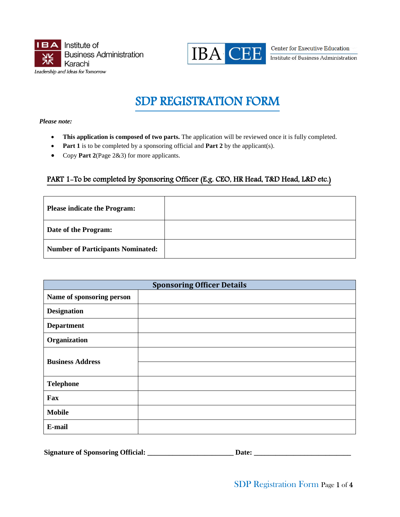



Center for Executive Education Institute of Business Administration

# SDP REGISTRATION FORM

*Please note:* 

- This application is composed of two parts. The application will be reviewed once it is fully completed.
- **Part 1** is to be completed by a sponsoring official and **Part 2** by the applicant(s).
- Copy **Part 2**(Page 2&3) for more applicants.

### PART 1-To be completed by Sponsoring Officer (E.g. CEO, HR Head, T&D Head, L&D etc.)

| <b>Please indicate the Program:</b>      |  |
|------------------------------------------|--|
| Date of the Program:                     |  |
| <b>Number of Participants Nominated:</b> |  |

|                           | <b>Sponsoring Officer Details</b> |
|---------------------------|-----------------------------------|
| Name of sponsoring person |                                   |
| <b>Designation</b>        |                                   |
| <b>Department</b>         |                                   |
| Organization              |                                   |
| <b>Business Address</b>   |                                   |
|                           |                                   |
| <b>Telephone</b>          |                                   |
| Fax                       |                                   |
| <b>Mobile</b>             |                                   |
| E-mail                    |                                   |

|  | <b>Signature of Sponsoring Official:</b> | Date |
|--|------------------------------------------|------|
|--|------------------------------------------|------|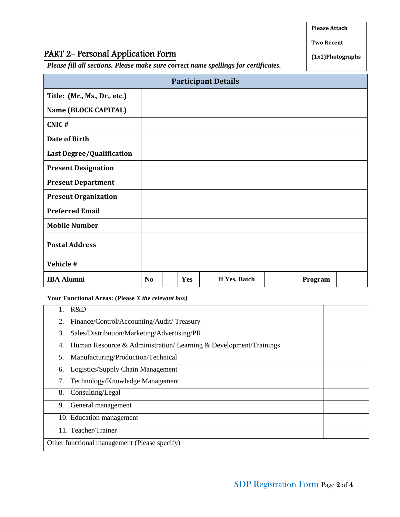**Please Attach**

#### **Two Recent**

**(1x1)Photographs**

## PART 2- Personal Application Form

*Please fill all sections. Please make sure correct name spellings for certificates.* 

|                              |                |     | <b>Participant Details</b> |         |  |
|------------------------------|----------------|-----|----------------------------|---------|--|
| Title: (Mr., Ms., Dr., etc.) |                |     |                            |         |  |
| Name (BLOCK CAPITAL)         |                |     |                            |         |  |
| CNIC#                        |                |     |                            |         |  |
| <b>Date of Birth</b>         |                |     |                            |         |  |
| Last Degree/Qualification    |                |     |                            |         |  |
| <b>Present Designation</b>   |                |     |                            |         |  |
| <b>Present Department</b>    |                |     |                            |         |  |
| <b>Present Organization</b>  |                |     |                            |         |  |
| <b>Preferred Email</b>       |                |     |                            |         |  |
| <b>Mobile Number</b>         |                |     |                            |         |  |
| <b>Postal Address</b>        |                |     |                            |         |  |
|                              |                |     |                            |         |  |
| Vehicle #                    |                |     |                            |         |  |
| <b>IBA Alumni</b>            | N <sub>0</sub> | Yes | If Yes, Batch              | Program |  |

**Your Functional Areas: (Please** *X the relevant box)*

| R&D                                                                    |  |  |  |
|------------------------------------------------------------------------|--|--|--|
| Finance/Control/Accounting/Audit/Treasury<br>2.                        |  |  |  |
| Sales/Distribution/Marketing/Advertising/PR<br>3.                      |  |  |  |
| Human Resource & Administration/Learning & Development/Trainings<br>4. |  |  |  |
| 5. Manufacturing/Production/Technical                                  |  |  |  |
| Logistics/Supply Chain Management<br>6.                                |  |  |  |
| Technology/Knowledge Management<br>7.                                  |  |  |  |
| 8.<br>Consulting/Legal                                                 |  |  |  |
| General management<br>9.                                               |  |  |  |
| 10. Education management                                               |  |  |  |
| 11. Teacher/Trainer                                                    |  |  |  |
| Other functional management (Please specify)                           |  |  |  |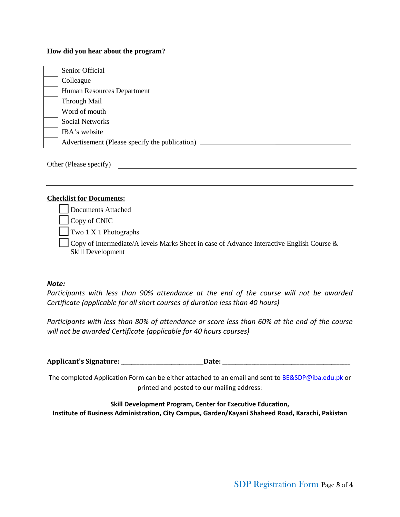#### **How did you hear about the program?**

| Senior Official                                |
|------------------------------------------------|
| Colleague                                      |
| Human Resources Department                     |
| Through Mail                                   |
| Word of mouth                                  |
| Social Networks                                |
| IBA's website                                  |
| Advertisement (Please specify the publication) |

Other (Please specify)

#### **Checklist for Documents:**

Documents Attached

Copy of CNIC

Two 1 X 1 Photographs

Copy of Intermediate/A levels Marks Sheet in case of Advance Interactive English Course & Skill Development

#### *Note:*

*Participants with less than 90% attendance at the end of the course will not be awarded Certificate (applicable for all short courses of duration less than 40 hours)*

*Participants with less than 80% of attendance or score less than 60% at the end of the course will not be awarded Certificate (applicable for 40 hours courses)*

**Applicant's Signature:** \_\_\_\_\_\_\_\_\_\_\_\_\_\_\_\_\_\_\_\_\_\_\_\_\_\_\_\_\_\_\_**Date:** \_\_\_\_\_\_\_\_\_\_\_\_\_\_\_\_\_\_\_\_\_\_\_\_\_\_\_\_\_\_\_\_\_\_\_\_\_\_\_\_\_\_\_\_\_\_\_\_

The completed Application Form can be either attached to an email and sent to **BE&SDP@iba.edu.pk** or printed and posted to our mailing address:

**Skill Development Program, Center for Executive Education, Institute of Business Administration, City Campus, Garden/Kayani Shaheed Road, Karachi, Pakistan**